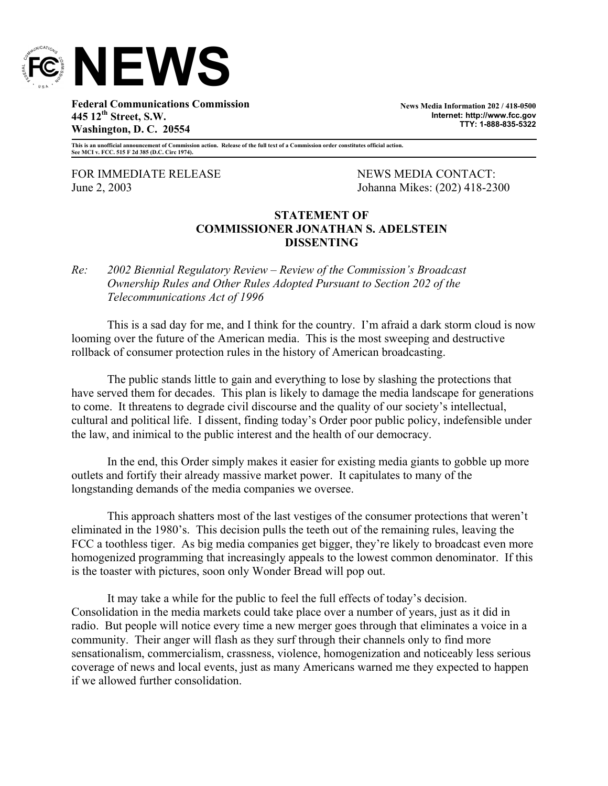

**Federal Communications Commission 445 12th Street, S.W. Washington, D. C. 20554** 

**News Media Information 202 / 418-0500 Internet: http://www.fcc.gov TTY: 1-888-835-5322**

**This is an unofficial announcement of Commission action. Release of the full text of a Commission order constitutes official action. See MCI v. FCC. 515 F 2d 385 (D.C. Circ 1974).** 

FOR IMMEDIATE RELEASE NEWS MEWS MEDIA CONTACT:

June 2, 2003 Johanna Mikes: (202) 418-2300

## **STATEMENT OF COMMISSIONER JONATHAN S. ADELSTEIN DISSENTING**

## *Re: 2002 Biennial Regulatory Review – Review of the Commission's Broadcast Ownership Rules and Other Rules Adopted Pursuant to Section 202 of the Telecommunications Act of 1996*

This is a sad day for me, and I think for the country. I'm afraid a dark storm cloud is now looming over the future of the American media. This is the most sweeping and destructive rollback of consumer protection rules in the history of American broadcasting.

The public stands little to gain and everything to lose by slashing the protections that have served them for decades. This plan is likely to damage the media landscape for generations to come. It threatens to degrade civil discourse and the quality of our society's intellectual, cultural and political life. I dissent, finding today's Order poor public policy, indefensible under the law, and inimical to the public interest and the health of our democracy.

In the end, this Order simply makes it easier for existing media giants to gobble up more outlets and fortify their already massive market power. It capitulates to many of the longstanding demands of the media companies we oversee.

This approach shatters most of the last vestiges of the consumer protections that weren't eliminated in the 1980's. This decision pulls the teeth out of the remaining rules, leaving the FCC a toothless tiger. As big media companies get bigger, they're likely to broadcast even more homogenized programming that increasingly appeals to the lowest common denominator. If this is the toaster with pictures, soon only Wonder Bread will pop out.

It may take a while for the public to feel the full effects of today's decision. Consolidation in the media markets could take place over a number of years, just as it did in radio. But people will notice every time a new merger goes through that eliminates a voice in a community. Their anger will flash as they surf through their channels only to find more sensationalism, commercialism, crassness, violence, homogenization and noticeably less serious coverage of news and local events, just as many Americans warned me they expected to happen if we allowed further consolidation.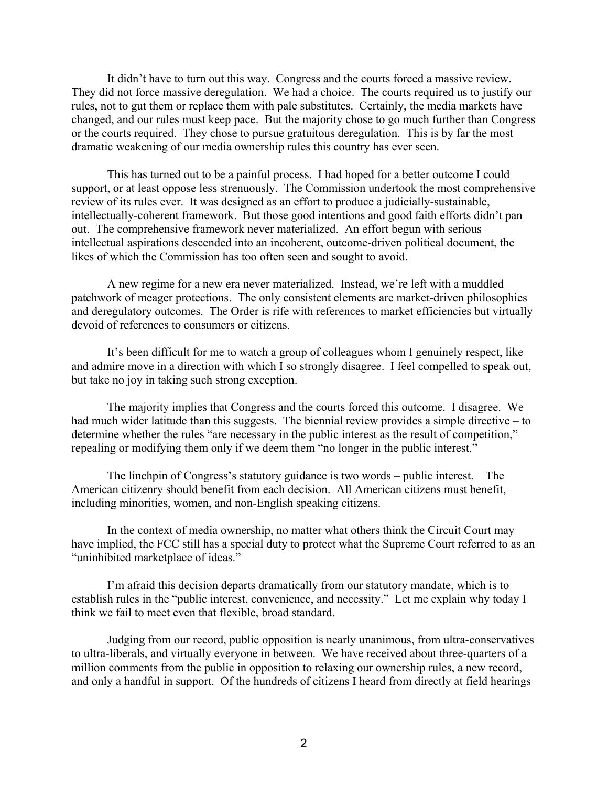It didn't have to turn out this way. Congress and the courts forced a massive review. They did not force massive deregulation. We had a choice. The courts required us to justify our rules, not to gut them or replace them with pale substitutes. Certainly, the media markets have changed, and our rules must keep pace. But the majority chose to go much further than Congress or the courts required. They chose to pursue gratuitous deregulation. This is by far the most dramatic weakening of our media ownership rules this country has ever seen.

This has turned out to be a painful process. I had hoped for a better outcome I could support, or at least oppose less strenuously. The Commission undertook the most comprehensive review of its rules ever. It was designed as an effort to produce a judicially-sustainable, intellectually-coherent framework. But those good intentions and good faith efforts didn't pan out. The comprehensive framework never materialized. An effort begun with serious intellectual aspirations descended into an incoherent, outcome-driven political document, the likes of which the Commission has too often seen and sought to avoid.

A new regime for a new era never materialized. Instead, we're left with a muddled patchwork of meager protections. The only consistent elements are market-driven philosophies and deregulatory outcomes. The Order is rife with references to market efficiencies but virtually devoid of references to consumers or citizens.

It's been difficult for me to watch a group of colleagues whom I genuinely respect, like and admire move in a direction with which I so strongly disagree. I feel compelled to speak out, but take no joy in taking such strong exception.

The majority implies that Congress and the courts forced this outcome. I disagree. We had much wider latitude than this suggests. The biennial review provides a simple directive – to determine whether the rules "are necessary in the public interest as the result of competition," repealing or modifying them only if we deem them "no longer in the public interest."

The linchpin of Congress's statutory guidance is two words – public interest. The American citizenry should benefit from each decision. All American citizens must benefit, including minorities, women, and non-English speaking citizens.

In the context of media ownership, no matter what others think the Circuit Court may have implied, the FCC still has a special duty to protect what the Supreme Court referred to as an "uninhibited marketplace of ideas."

I'm afraid this decision departs dramatically from our statutory mandate, which is to establish rules in the "public interest, convenience, and necessity." Let me explain why today I think we fail to meet even that flexible, broad standard.

Judging from our record, public opposition is nearly unanimous, from ultra-conservatives to ultra-liberals, and virtually everyone in between. We have received about three-quarters of a million comments from the public in opposition to relaxing our ownership rules, a new record, and only a handful in support. Of the hundreds of citizens I heard from directly at field hearings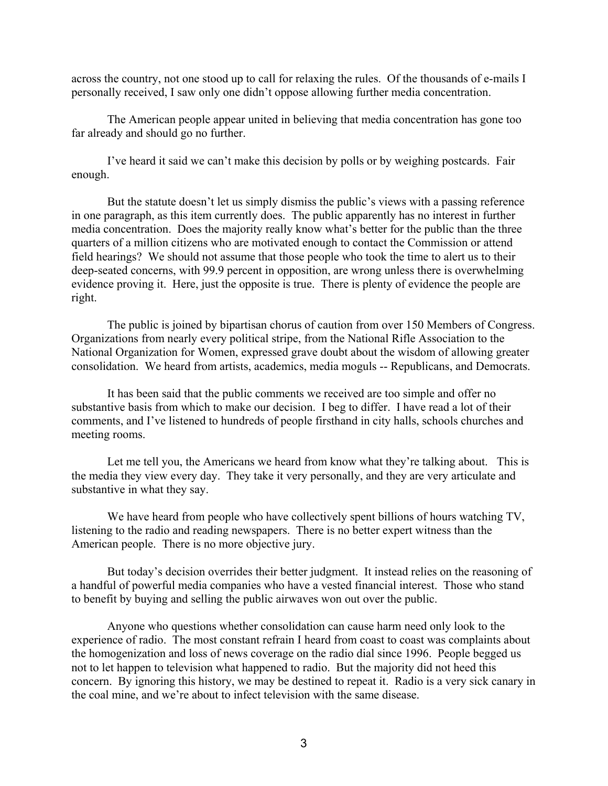across the country, not one stood up to call for relaxing the rules. Of the thousands of e-mails I personally received, I saw only one didn't oppose allowing further media concentration.

The American people appear united in believing that media concentration has gone too far already and should go no further.

I've heard it said we can't make this decision by polls or by weighing postcards. Fair enough.

But the statute doesn't let us simply dismiss the public's views with a passing reference in one paragraph, as this item currently does. The public apparently has no interest in further media concentration. Does the majority really know what's better for the public than the three quarters of a million citizens who are motivated enough to contact the Commission or attend field hearings? We should not assume that those people who took the time to alert us to their deep-seated concerns, with 99.9 percent in opposition, are wrong unless there is overwhelming evidence proving it. Here, just the opposite is true. There is plenty of evidence the people are right.

The public is joined by bipartisan chorus of caution from over 150 Members of Congress. Organizations from nearly every political stripe, from the National Rifle Association to the National Organization for Women, expressed grave doubt about the wisdom of allowing greater consolidation. We heard from artists, academics, media moguls -- Republicans, and Democrats.

It has been said that the public comments we received are too simple and offer no substantive basis from which to make our decision. I beg to differ. I have read a lot of their comments, and I've listened to hundreds of people firsthand in city halls, schools churches and meeting rooms.

Let me tell you, the Americans we heard from know what they're talking about. This is the media they view every day. They take it very personally, and they are very articulate and substantive in what they say.

We have heard from people who have collectively spent billions of hours watching TV, listening to the radio and reading newspapers. There is no better expert witness than the American people. There is no more objective jury.

But today's decision overrides their better judgment. It instead relies on the reasoning of a handful of powerful media companies who have a vested financial interest. Those who stand to benefit by buying and selling the public airwaves won out over the public.

Anyone who questions whether consolidation can cause harm need only look to the experience of radio. The most constant refrain I heard from coast to coast was complaints about the homogenization and loss of news coverage on the radio dial since 1996. People begged us not to let happen to television what happened to radio. But the majority did not heed this concern. By ignoring this history, we may be destined to repeat it. Radio is a very sick canary in the coal mine, and we're about to infect television with the same disease.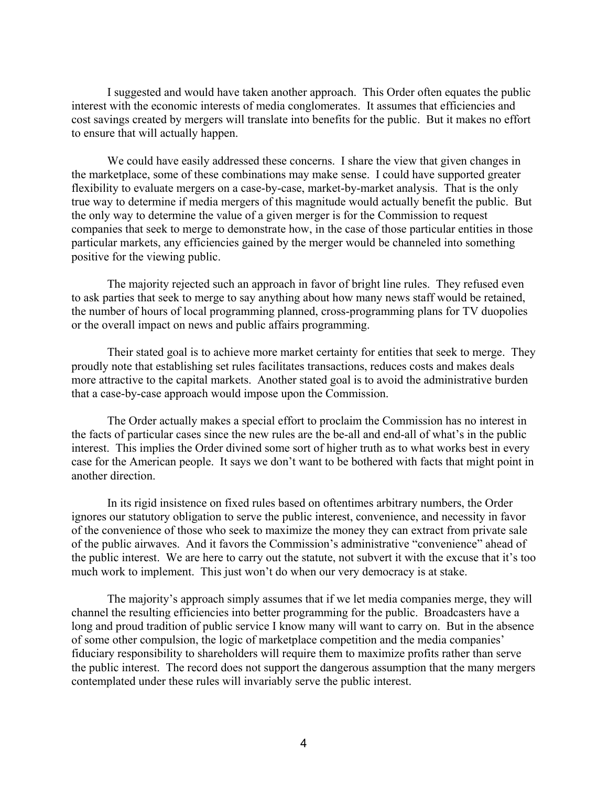I suggested and would have taken another approach. This Order often equates the public interest with the economic interests of media conglomerates. It assumes that efficiencies and cost savings created by mergers will translate into benefits for the public. But it makes no effort to ensure that will actually happen.

We could have easily addressed these concerns. I share the view that given changes in the marketplace, some of these combinations may make sense. I could have supported greater flexibility to evaluate mergers on a case-by-case, market-by-market analysis. That is the only true way to determine if media mergers of this magnitude would actually benefit the public. But the only way to determine the value of a given merger is for the Commission to request companies that seek to merge to demonstrate how, in the case of those particular entities in those particular markets, any efficiencies gained by the merger would be channeled into something positive for the viewing public.

The majority rejected such an approach in favor of bright line rules. They refused even to ask parties that seek to merge to say anything about how many news staff would be retained, the number of hours of local programming planned, cross-programming plans for TV duopolies or the overall impact on news and public affairs programming.

Their stated goal is to achieve more market certainty for entities that seek to merge. They proudly note that establishing set rules facilitates transactions, reduces costs and makes deals more attractive to the capital markets. Another stated goal is to avoid the administrative burden that a case-by-case approach would impose upon the Commission.

The Order actually makes a special effort to proclaim the Commission has no interest in the facts of particular cases since the new rules are the be-all and end-all of what's in the public interest. This implies the Order divined some sort of higher truth as to what works best in every case for the American people. It says we don't want to be bothered with facts that might point in another direction.

In its rigid insistence on fixed rules based on oftentimes arbitrary numbers, the Order ignores our statutory obligation to serve the public interest, convenience, and necessity in favor of the convenience of those who seek to maximize the money they can extract from private sale of the public airwaves. And it favors the Commission's administrative "convenience" ahead of the public interest. We are here to carry out the statute, not subvert it with the excuse that it's too much work to implement. This just won't do when our very democracy is at stake.

The majority's approach simply assumes that if we let media companies merge, they will channel the resulting efficiencies into better programming for the public. Broadcasters have a long and proud tradition of public service I know many will want to carry on. But in the absence of some other compulsion, the logic of marketplace competition and the media companies' fiduciary responsibility to shareholders will require them to maximize profits rather than serve the public interest. The record does not support the dangerous assumption that the many mergers contemplated under these rules will invariably serve the public interest.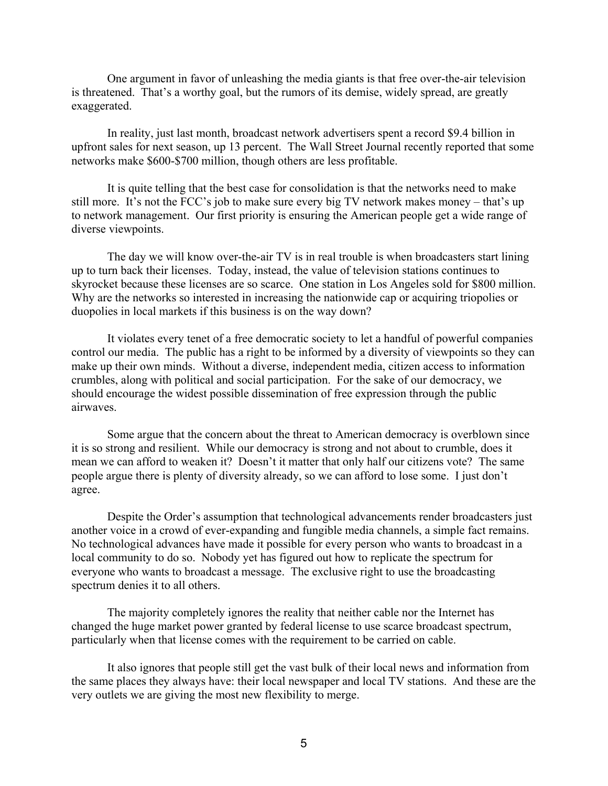One argument in favor of unleashing the media giants is that free over-the-air television is threatened. That's a worthy goal, but the rumors of its demise, widely spread, are greatly exaggerated.

In reality, just last month, broadcast network advertisers spent a record \$9.4 billion in upfront sales for next season, up 13 percent. The Wall Street Journal recently reported that some networks make \$600-\$700 million, though others are less profitable.

It is quite telling that the best case for consolidation is that the networks need to make still more. It's not the FCC's job to make sure every big TV network makes money – that's up to network management. Our first priority is ensuring the American people get a wide range of diverse viewpoints.

The day we will know over-the-air TV is in real trouble is when broadcasters start lining up to turn back their licenses. Today, instead, the value of television stations continues to skyrocket because these licenses are so scarce. One station in Los Angeles sold for \$800 million. Why are the networks so interested in increasing the nationwide cap or acquiring triopolies or duopolies in local markets if this business is on the way down?

It violates every tenet of a free democratic society to let a handful of powerful companies control our media. The public has a right to be informed by a diversity of viewpoints so they can make up their own minds. Without a diverse, independent media, citizen access to information crumbles, along with political and social participation. For the sake of our democracy, we should encourage the widest possible dissemination of free expression through the public airwaves.

Some argue that the concern about the threat to American democracy is overblown since it is so strong and resilient. While our democracy is strong and not about to crumble, does it mean we can afford to weaken it? Doesn't it matter that only half our citizens vote? The same people argue there is plenty of diversity already, so we can afford to lose some. I just don't agree.

Despite the Order's assumption that technological advancements render broadcasters just another voice in a crowd of ever-expanding and fungible media channels, a simple fact remains. No technological advances have made it possible for every person who wants to broadcast in a local community to do so. Nobody yet has figured out how to replicate the spectrum for everyone who wants to broadcast a message. The exclusive right to use the broadcasting spectrum denies it to all others.

The majority completely ignores the reality that neither cable nor the Internet has changed the huge market power granted by federal license to use scarce broadcast spectrum, particularly when that license comes with the requirement to be carried on cable.

It also ignores that people still get the vast bulk of their local news and information from the same places they always have: their local newspaper and local TV stations. And these are the very outlets we are giving the most new flexibility to merge.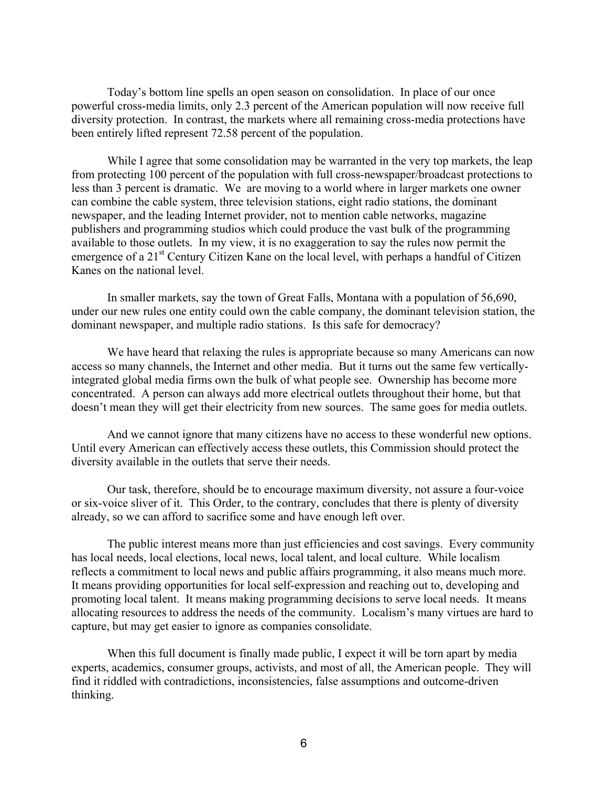Today's bottom line spells an open season on consolidation. In place of our once powerful cross-media limits, only 2.3 percent of the American population will now receive full diversity protection. In contrast, the markets where all remaining cross-media protections have been entirely lifted represent 72.58 percent of the population.

While I agree that some consolidation may be warranted in the very top markets, the leap from protecting 100 percent of the population with full cross-newspaper/broadcast protections to less than 3 percent is dramatic. We are moving to a world where in larger markets one owner can combine the cable system, three television stations, eight radio stations, the dominant newspaper, and the leading Internet provider, not to mention cable networks, magazine publishers and programming studios which could produce the vast bulk of the programming available to those outlets. In my view, it is no exaggeration to say the rules now permit the emergence of a 21<sup>st</sup> Century Citizen Kane on the local level, with perhaps a handful of Citizen Kanes on the national level.

In smaller markets, say the town of Great Falls, Montana with a population of 56,690, under our new rules one entity could own the cable company, the dominant television station, the dominant newspaper, and multiple radio stations. Is this safe for democracy?

 We have heard that relaxing the rules is appropriate because so many Americans can now access so many channels, the Internet and other media. But it turns out the same few verticallyintegrated global media firms own the bulk of what people see. Ownership has become more concentrated. A person can always add more electrical outlets throughout their home, but that doesn't mean they will get their electricity from new sources. The same goes for media outlets.

And we cannot ignore that many citizens have no access to these wonderful new options. Until every American can effectively access these outlets, this Commission should protect the diversity available in the outlets that serve their needs.

Our task, therefore, should be to encourage maximum diversity, not assure a four-voice or six-voice sliver of it. This Order, to the contrary, concludes that there is plenty of diversity already, so we can afford to sacrifice some and have enough left over.

 The public interest means more than just efficiencies and cost savings. Every community has local needs, local elections, local news, local talent, and local culture. While localism reflects a commitment to local news and public affairs programming, it also means much more. It means providing opportunities for local self-expression and reaching out to, developing and promoting local talent. It means making programming decisions to serve local needs. It means allocating resources to address the needs of the community. Localism's many virtues are hard to capture, but may get easier to ignore as companies consolidate.

When this full document is finally made public, I expect it will be torn apart by media experts, academics, consumer groups, activists, and most of all, the American people. They will find it riddled with contradictions, inconsistencies, false assumptions and outcome-driven thinking.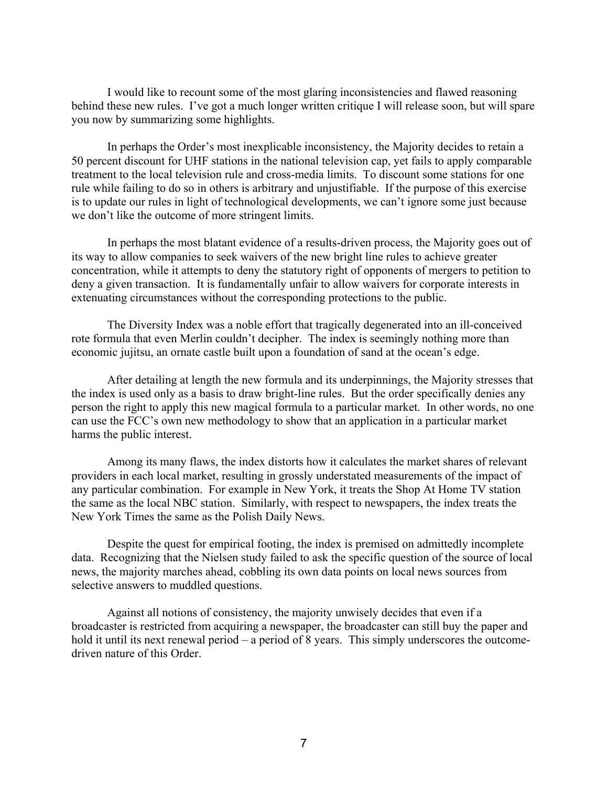I would like to recount some of the most glaring inconsistencies and flawed reasoning behind these new rules. I've got a much longer written critique I will release soon, but will spare you now by summarizing some highlights.

In perhaps the Order's most inexplicable inconsistency, the Majority decides to retain a 50 percent discount for UHF stations in the national television cap, yet fails to apply comparable treatment to the local television rule and cross-media limits. To discount some stations for one rule while failing to do so in others is arbitrary and unjustifiable. If the purpose of this exercise is to update our rules in light of technological developments, we can't ignore some just because we don't like the outcome of more stringent limits.

 In perhaps the most blatant evidence of a results-driven process, the Majority goes out of its way to allow companies to seek waivers of the new bright line rules to achieve greater concentration, while it attempts to deny the statutory right of opponents of mergers to petition to deny a given transaction. It is fundamentally unfair to allow waivers for corporate interests in extenuating circumstances without the corresponding protections to the public.

The Diversity Index was a noble effort that tragically degenerated into an ill-conceived rote formula that even Merlin couldn't decipher. The index is seemingly nothing more than economic jujitsu, an ornate castle built upon a foundation of sand at the ocean's edge.

 After detailing at length the new formula and its underpinnings, the Majority stresses that the index is used only as a basis to draw bright-line rules. But the order specifically denies any person the right to apply this new magical formula to a particular market. In other words, no one can use the FCC's own new methodology to show that an application in a particular market harms the public interest.

Among its many flaws, the index distorts how it calculates the market shares of relevant providers in each local market, resulting in grossly understated measurements of the impact of any particular combination. For example in New York, it treats the Shop At Home TV station the same as the local NBC station. Similarly, with respect to newspapers, the index treats the New York Times the same as the Polish Daily News.

 Despite the quest for empirical footing, the index is premised on admittedly incomplete data. Recognizing that the Nielsen study failed to ask the specific question of the source of local news, the majority marches ahead, cobbling its own data points on local news sources from selective answers to muddled questions.

Against all notions of consistency, the majority unwisely decides that even if a broadcaster is restricted from acquiring a newspaper, the broadcaster can still buy the paper and hold it until its next renewal period – a period of 8 years. This simply underscores the outcomedriven nature of this Order.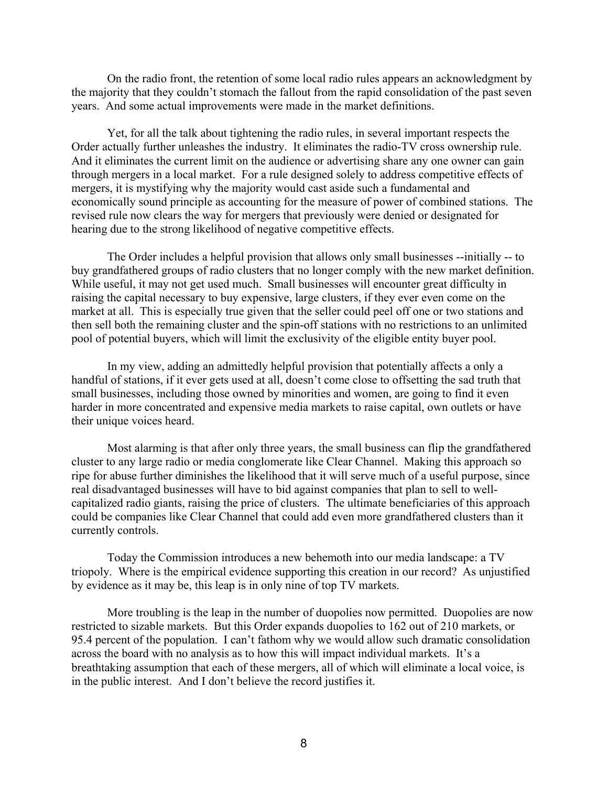On the radio front, the retention of some local radio rules appears an acknowledgment by the majority that they couldn't stomach the fallout from the rapid consolidation of the past seven years. And some actual improvements were made in the market definitions.

 Yet, for all the talk about tightening the radio rules, in several important respects the Order actually further unleashes the industry. It eliminates the radio-TV cross ownership rule. And it eliminates the current limit on the audience or advertising share any one owner can gain through mergers in a local market. For a rule designed solely to address competitive effects of mergers, it is mystifying why the majority would cast aside such a fundamental and economically sound principle as accounting for the measure of power of combined stations. The revised rule now clears the way for mergers that previously were denied or designated for hearing due to the strong likelihood of negative competitive effects.

The Order includes a helpful provision that allows only small businesses --initially -- to buy grandfathered groups of radio clusters that no longer comply with the new market definition. While useful, it may not get used much. Small businesses will encounter great difficulty in raising the capital necessary to buy expensive, large clusters, if they ever even come on the market at all. This is especially true given that the seller could peel off one or two stations and then sell both the remaining cluster and the spin-off stations with no restrictions to an unlimited pool of potential buyers, which will limit the exclusivity of the eligible entity buyer pool.

In my view, adding an admittedly helpful provision that potentially affects a only a handful of stations, if it ever gets used at all, doesn't come close to offsetting the sad truth that small businesses, including those owned by minorities and women, are going to find it even harder in more concentrated and expensive media markets to raise capital, own outlets or have their unique voices heard.

Most alarming is that after only three years, the small business can flip the grandfathered cluster to any large radio or media conglomerate like Clear Channel. Making this approach so ripe for abuse further diminishes the likelihood that it will serve much of a useful purpose, since real disadvantaged businesses will have to bid against companies that plan to sell to wellcapitalized radio giants, raising the price of clusters. The ultimate beneficiaries of this approach could be companies like Clear Channel that could add even more grandfathered clusters than it currently controls.

Today the Commission introduces a new behemoth into our media landscape: a TV triopoly. Where is the empirical evidence supporting this creation in our record? As unjustified by evidence as it may be, this leap is in only nine of top TV markets.

More troubling is the leap in the number of duopolies now permitted. Duopolies are now restricted to sizable markets. But this Order expands duopolies to 162 out of 210 markets, or 95.4 percent of the population. I can't fathom why we would allow such dramatic consolidation across the board with no analysis as to how this will impact individual markets. It's a breathtaking assumption that each of these mergers, all of which will eliminate a local voice, is in the public interest. And I don't believe the record justifies it.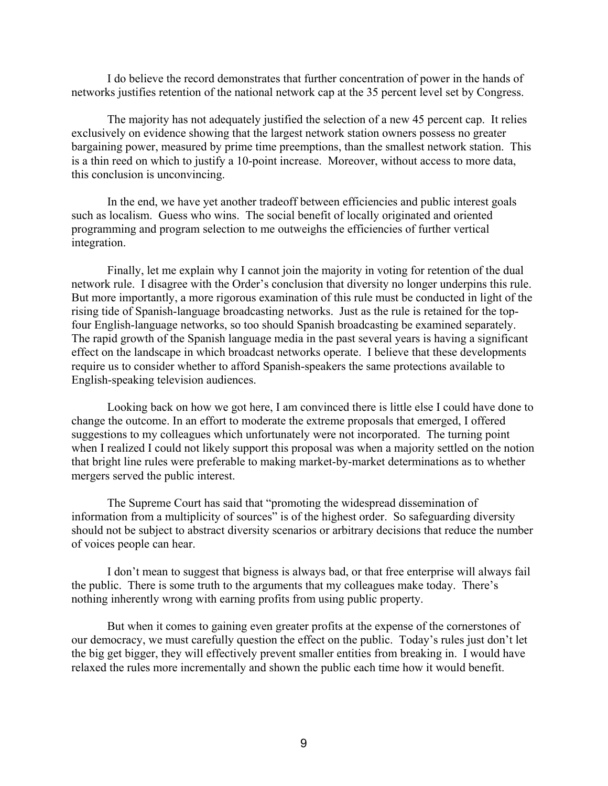I do believe the record demonstrates that further concentration of power in the hands of networks justifies retention of the national network cap at the 35 percent level set by Congress.

The majority has not adequately justified the selection of a new 45 percent cap. It relies exclusively on evidence showing that the largest network station owners possess no greater bargaining power, measured by prime time preemptions, than the smallest network station. This is a thin reed on which to justify a 10-point increase. Moreover, without access to more data, this conclusion is unconvincing.

In the end, we have yet another tradeoff between efficiencies and public interest goals such as localism. Guess who wins. The social benefit of locally originated and oriented programming and program selection to me outweighs the efficiencies of further vertical integration.

Finally, let me explain why I cannot join the majority in voting for retention of the dual network rule. I disagree with the Order's conclusion that diversity no longer underpins this rule. But more importantly, a more rigorous examination of this rule must be conducted in light of the rising tide of Spanish-language broadcasting networks. Just as the rule is retained for the topfour English-language networks, so too should Spanish broadcasting be examined separately. The rapid growth of the Spanish language media in the past several years is having a significant effect on the landscape in which broadcast networks operate. I believe that these developments require us to consider whether to afford Spanish-speakers the same protections available to English-speaking television audiences.

Looking back on how we got here, I am convinced there is little else I could have done to change the outcome. In an effort to moderate the extreme proposals that emerged, I offered suggestions to my colleagues which unfortunately were not incorporated. The turning point when I realized I could not likely support this proposal was when a majority settled on the notion that bright line rules were preferable to making market-by-market determinations as to whether mergers served the public interest.

The Supreme Court has said that "promoting the widespread dissemination of information from a multiplicity of sources" is of the highest order. So safeguarding diversity should not be subject to abstract diversity scenarios or arbitrary decisions that reduce the number of voices people can hear.

I don't mean to suggest that bigness is always bad, or that free enterprise will always fail the public. There is some truth to the arguments that my colleagues make today. There's nothing inherently wrong with earning profits from using public property.

But when it comes to gaining even greater profits at the expense of the cornerstones of our democracy, we must carefully question the effect on the public. Today's rules just don't let the big get bigger, they will effectively prevent smaller entities from breaking in. I would have relaxed the rules more incrementally and shown the public each time how it would benefit.